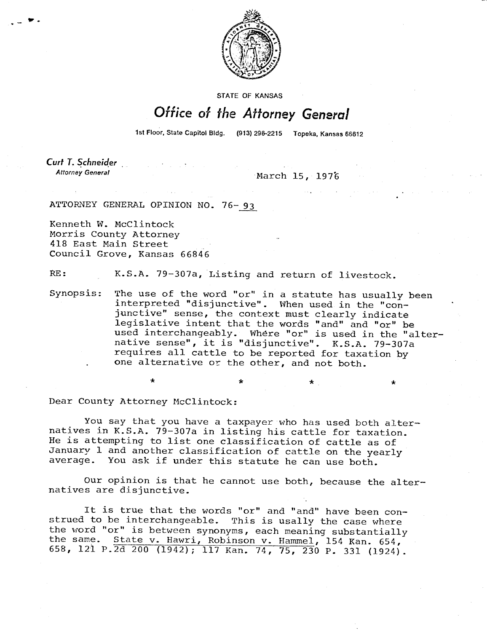

**STATE OF KANSAS** 

## Office of the Attorney General

1st Floor, State Capitol Bldg. (913) 296-2215 Topeka, Kansas 66612

 $\star$   $\star$   $\star$ 

Curt T. Schneider **Attorney General** 

March 15, 1976

ATTORNEY GENERAL OPINION NO. 76-93

Kenneth W. McClintock Morris County Attorney 418 East Main Street Council Grove, Kansas 66846

RE: K.S.A. 79-307a, Listing and return of livestock.

Synopsis: The use of the word "or" in a statute has usually been interpreted "disjunctive". When used in the "conjunctive" sense, the context must clearly indicate legislative intent that the words "and" and "or" be used interchangeably. Where "or" is used in the "alternative sense", it is "disjunctive". K.S.A. 79-307a requires all cattle to be reported for taxation by one alternative or the other, and not both.

Dear County Attorney McClintock:

You say that you have a taxpayer who has used both alternatives in K.S.A. 79-307a in listing his cattle for taxation. He is attempting to list one classification of cattle as of January 1 and another classification of cattle on the yearly average. You ask if under this statute he can use both.

Our opinion is that he cannot use both, because the alternatives are disjunctive.

It is true that the words "or" and "and" have been construed to be interchangeable. This is usally the case where the word "or" is between synonyms, each meaning substantially the same. State v. Hawri, Robinson v. Hammel, 154 Kan. 654, 658, 121 P.2d 200 (1942); 117 Kan. 74, 75, 230 P. 331 (1924).